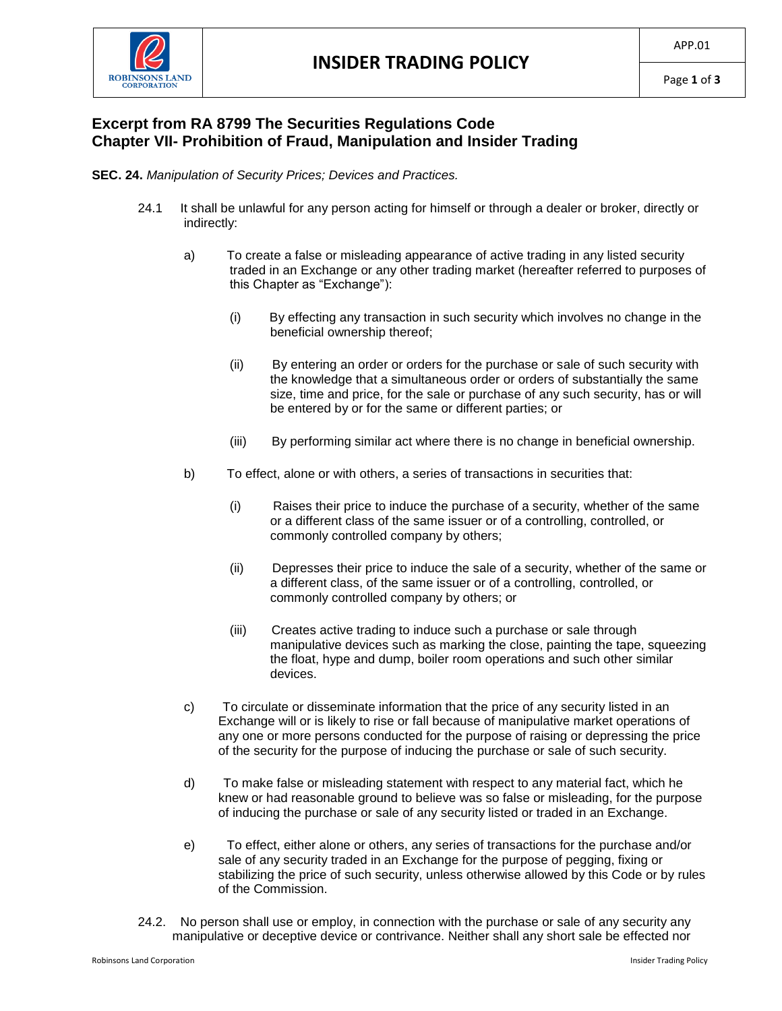

## **Excerpt from RA 8799 The Securities Regulations Code Chapter VII- Prohibition of Fraud, Manipulation and Insider Trading**

## **SEC. 24.** *Manipulation of Security Prices; Devices and Practices.*

- 24.1 It shall be unlawful for any person acting for himself or through a dealer or broker, directly or indirectly:
	- a) To create a false or misleading appearance of active trading in any listed security traded in an Exchange or any other trading market (hereafter referred to purposes of this Chapter as "Exchange"):
		- (i) By effecting any transaction in such security which involves no change in the beneficial ownership thereof;
		- (ii) By entering an order or orders for the purchase or sale of such security with the knowledge that a simultaneous order or orders of substantially the same size, time and price, for the sale or purchase of any such security, has or will be entered by or for the same or different parties; or
		- (iii) By performing similar act where there is no change in beneficial ownership.
	- b) To effect, alone or with others, a series of transactions in securities that:
		- (i) Raises their price to induce the purchase of a security, whether of the same or a different class of the same issuer or of a controlling, controlled, or commonly controlled company by others;
		- (ii) Depresses their price to induce the sale of a security, whether of the same or a different class, of the same issuer or of a controlling, controlled, or commonly controlled company by others; or
		- (iii) Creates active trading to induce such a purchase or sale through manipulative devices such as marking the close, painting the tape, squeezing the float, hype and dump, boiler room operations and such other similar devices.
	- c) To circulate or disseminate information that the price of any security listed in an Exchange will or is likely to rise or fall because of manipulative market operations of any one or more persons conducted for the purpose of raising or depressing the price of the security for the purpose of inducing the purchase or sale of such security.
	- d) To make false or misleading statement with respect to any material fact, which he knew or had reasonable ground to believe was so false or misleading, for the purpose of inducing the purchase or sale of any security listed or traded in an Exchange.
	- e) To effect, either alone or others, any series of transactions for the purchase and/or sale of any security traded in an Exchange for the purpose of pegging, fixing or stabilizing the price of such security, unless otherwise allowed by this Code or by rules of the Commission.
- 24.2. No person shall use or employ, in connection with the purchase or sale of any security any manipulative or deceptive device or contrivance. Neither shall any short sale be effected nor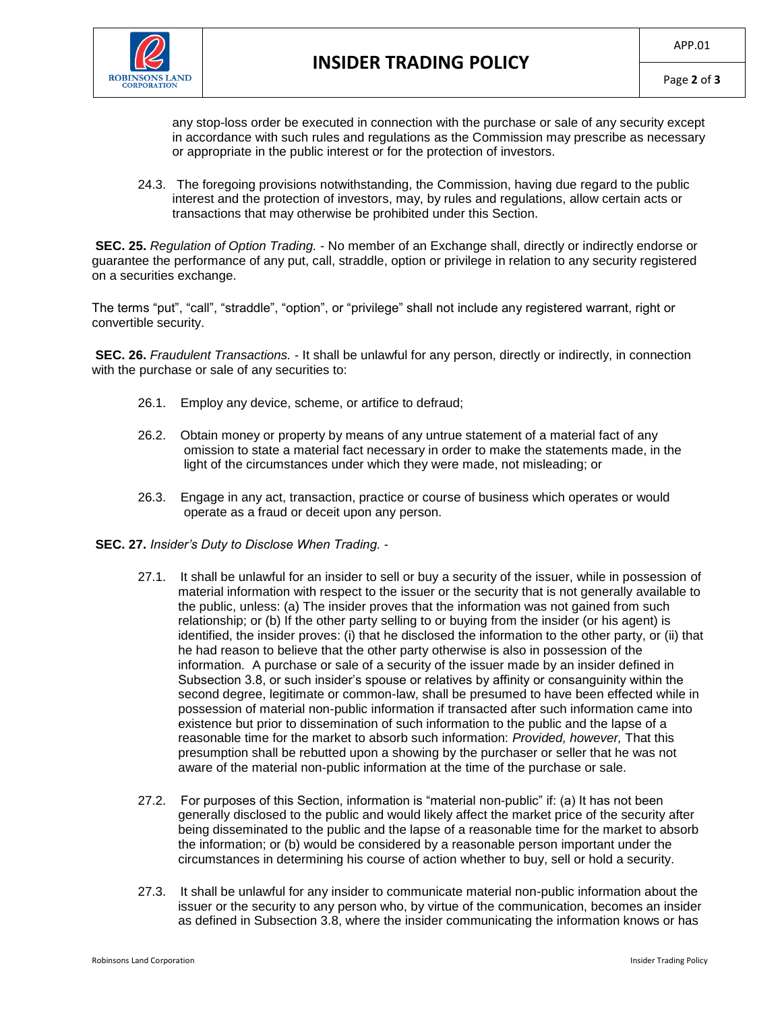

any stop-loss order be executed in connection with the purchase or sale of any security except in accordance with such rules and regulations as the Commission may prescribe as necessary or appropriate in the public interest or for the protection of investors.

24.3. The foregoing provisions notwithstanding, the Commission, having due regard to the public interest and the protection of investors, may, by rules and regulations, allow certain acts or transactions that may otherwise be prohibited under this Section.

**SEC. 25.** *Regulation of Option Trading.* - No member of an Exchange shall, directly or indirectly endorse or guarantee the performance of any put, call, straddle, option or privilege in relation to any security registered on a securities exchange.

The terms "put", "call", "straddle", "option", or "privilege" shall not include any registered warrant, right or convertible security.

**SEC. 26.** *Fraudulent Transactions.* - It shall be unlawful for any person, directly or indirectly, in connection with the purchase or sale of any securities to:

- 26.1. Employ any device, scheme, or artifice to defraud;
- 26.2. Obtain money or property by means of any untrue statement of a material fact of any omission to state a material fact necessary in order to make the statements made, in the light of the circumstances under which they were made, not misleading; or
- 26.3. Engage in any act, transaction, practice or course of business which operates or would operate as a fraud or deceit upon any person.
- **SEC. 27.** *Insider's Duty to Disclose When Trading.*
	- 27.1. It shall be unlawful for an insider to sell or buy a security of the issuer, while in possession of material information with respect to the issuer or the security that is not generally available to the public, unless: (a) The insider proves that the information was not gained from such relationship; or (b) If the other party selling to or buying from the insider (or his agent) is identified, the insider proves: (i) that he disclosed the information to the other party, or (ii) that he had reason to believe that the other party otherwise is also in possession of the information. A purchase or sale of a security of the issuer made by an insider defined in Subsection 3.8, or such insider's spouse or relatives by affinity or consanguinity within the second degree, legitimate or common-law, shall be presumed to have been effected while in possession of material non-public information if transacted after such information came into existence but prior to dissemination of such information to the public and the lapse of a reasonable time for the market to absorb such information: *Provided, however,* That this presumption shall be rebutted upon a showing by the purchaser or seller that he was not aware of the material non-public information at the time of the purchase or sale.
	- 27.2. For purposes of this Section, information is "material non-public" if: (a) It has not been generally disclosed to the public and would likely affect the market price of the security after being disseminated to the public and the lapse of a reasonable time for the market to absorb the information; or (b) would be considered by a reasonable person important under the circumstances in determining his course of action whether to buy, sell or hold a security.
	- 27.3. It shall be unlawful for any insider to communicate material non-public information about the issuer or the security to any person who, by virtue of the communication, becomes an insider as defined in Subsection 3.8, where the insider communicating the information knows or has